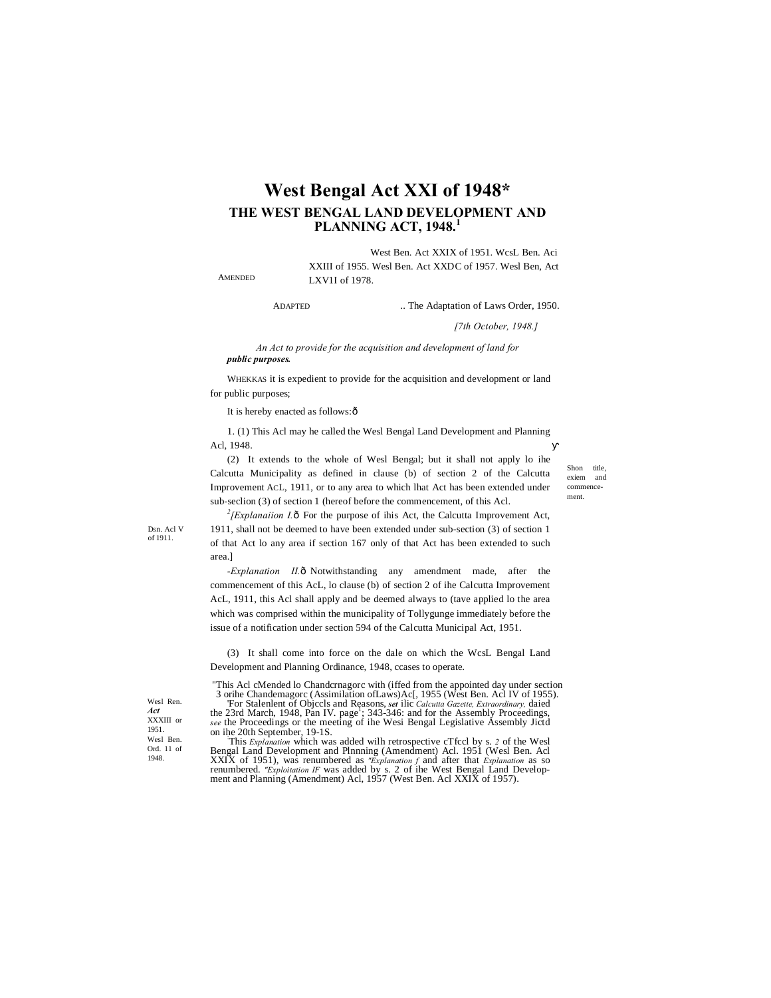# **West Bengal Act XXI of 1948\* THE WEST BENGAL LAND DEVELOPMENT AND PLANNING ACT, 1948.<sup>1</sup>**

West Ben. Act XXIX of 1951. WcsL Ben. Aci XXIII of 1955. Wesl Ben. Act XXDC of 1957. Wesl Ben, Act LXV1I of 1978.

AMENDED

ADAPTED ... The Adaptation of Laws Order, 1950.

*[7th October, 1948.]*

*An Act to provide for the acquisition and development of land for public purposes.*

WHEKKAS it is expedient to provide for the acquisition and development or land for public purposes;

It is hereby enacted as follows: $\delta$ 

1. (1) This Acl may he called the Wesl Bengal Land Development and Planning Acl, 1948.

(2) It extends to the whole of Wesl Bengal; but it shall not apply lo ihe Calcutta Municipality as defined in clause (b) of section 2 of the Calcutta Improvement ACL, 1911, or to any area to which lhat Act has been extended under sub-seclion (3) of section 1 (hereof before the commencement, of this Acl.

Shon title exiem and commencement.

Dsn. Acl V of 1911.

 $2$ <sup>2</sup>/*Explanaiion I.* $\delta$  For the purpose of ihis Act, the Calcutta Improvement Act, 1911, shall not be deemed to have been extended under sub-section (3) of section 1 of that Act lo any area if section 167 only of that Act has been extended to such area.]

-Explanation II.ô Notwithstanding any amendment made, after the commencement of this AcL, lo clause (b) of section 2 of ihe Calcutta Improvement AcL, 1911, this Acl shall apply and be deemed always to (tave applied lo the area which was comprised within the municipality of Tollygunge immediately before the issue of a notification under section 594 of the Calcutta Municipal Act, 1951.

(3) It shall come into force on the dale on which the WcsL Bengal Land Development and Planning Ordinance, 1948, ccases to operate.

"This Acl cMended lo Chandcrnagorc with (iffed from the appointed day under section 3 orihe Chandemagorc (Assimilation ofLaws)Ac[, 1955 (West Ben. Acl IV of 1955).

For Stalenlent of Objccls and Reasons, *set* ilic *Calcutta Gazette, Extraordinary*, daied the 23rd March, 1948, Pan IV. page<sup>1</sup>; 343-346: and for the Assembly Proceedings, *see* the Proceedings or the meeting of ihe Wesi on ihe 20th September, 19-1S. :

This *Explanation* which was added wilh retrospective cTfccl by s. *2* of the Wesl Bengal Land Development and Plnnning (Amendment) Acl. 1951 (Wesl Ben. Acl XXIX of 1951), was renumbered as "Explanation f and after that Explanation as so renumbered. "Exploitation IF was added by s. 2 of the West Bengal Land Development and Planning (Amendment) Acl, 1957 (West Ben. Acl XXIX of

Wesl Ren. *Act* XXXIII or 1951. Wesl Ben. Ord. 11 of 1948.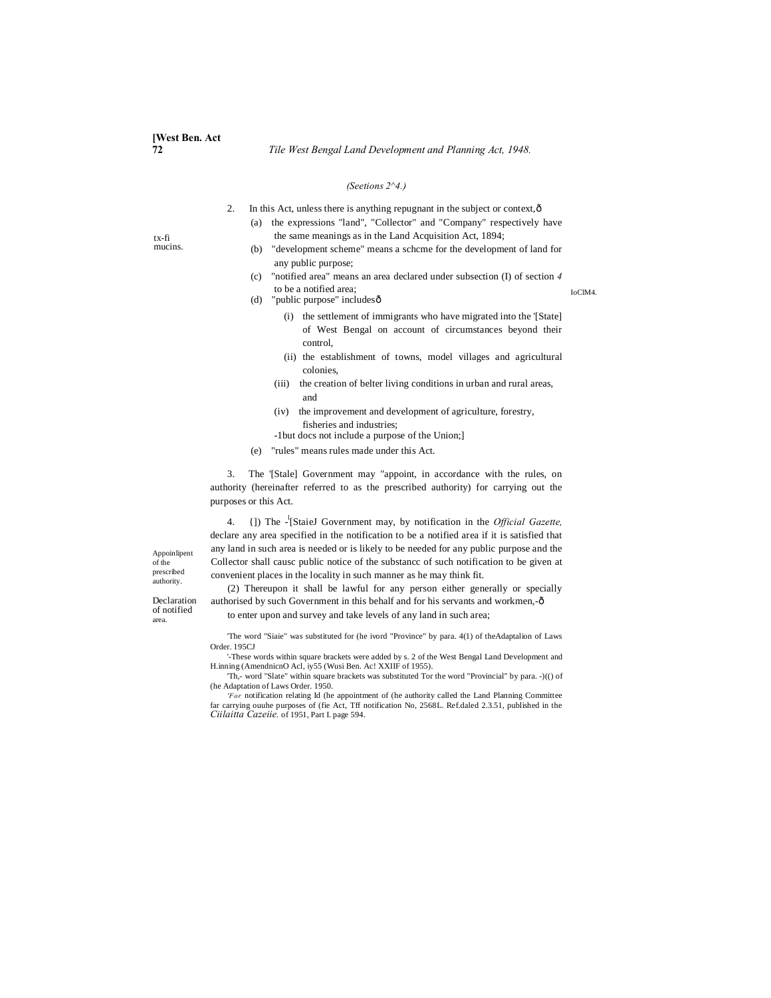tx-fi mucins.

### *(Seetions 2^4.)*

| In this Act, unless there is anything repugnant in the subject or context, $\hat{o}$ |                                                                         |
|--------------------------------------------------------------------------------------|-------------------------------------------------------------------------|
|                                                                                      | (a) the expressions "land", "Collector" and "Company" respectively have |
|                                                                                      | the same meanings as in the Land Acquisition Act, 1894;                 |

- (b) "development scheme" means a schcme for the development of land for any public purpose;
- (c) "notified area" means an area declared under subsection (I) of section *4* to be a notified area;
- (d) "public purpose" includes $\hat{\text{o}}$ 
	- (i) the settlement of immigrants who have migrated into the '[State] of West Bengal on account of circumstances beyond their control,
	- (ii) the establishment of towns, model villages and agricultural colonies,
	- (iii) the creation of belter living conditions in urban and rural areas, and
	- (iv) the improvement and development of agriculture, forestry, fisheries and industries;
	- -1but docs not include a purpose of the Union;]
- (e) "rules" means rules made under this Act.

3. The '[Stale] Government may "appoint, in accordance with the rules, on authority (hereinafter referred to as the prescribed authority) for carrying out the purposes or this Act.

4. {]) The - l [StaieJ Government may, by notification in the *Official Gazette,* declare any area specified in the notification to be a notified area if it is satisfied that any land in such area is needed or is likely to be needed for any public purpose and the Collector shall causc public notice of the substancc of such notification to be given at convenient places in the locality in such manner as he may think fit.

of the prescribed authority.

Appoinlipent

Declaration of notified area.

(2) Thereupon it shall be lawful for any person either generally or specially authorised by such Government in this behalf and for his servants and workmen,-ô to enter upon and survey and take levels of any land in such area;

'The word "Siaie" was substituted for (he ivord "Province" by para. 4(1) of theAdaptalion of Laws Order. 195CJ

'-These words within square brackets were added by s. 2 of the West Bengal Land Development and H.inning (AmendnicnO Acl, iy55 (Wusi Ben. Ac! XXIIF of 1955).

'Th,- word "Slate" within square brackets was substituted Tor the word "Provincial" by para. -)(() of (he Adaptation of Laws Order. 1950.

*'For* notification relating Id (he appointment of (he authority called the Land Planning Committee far carrying ouuhe purposes of (fie Act, Tff notification No, 2568L. Ref.daled 2.3.51, published in the *Ciilaitta Cazeiie.* of 1951, Part I. page 594.

IoClM4.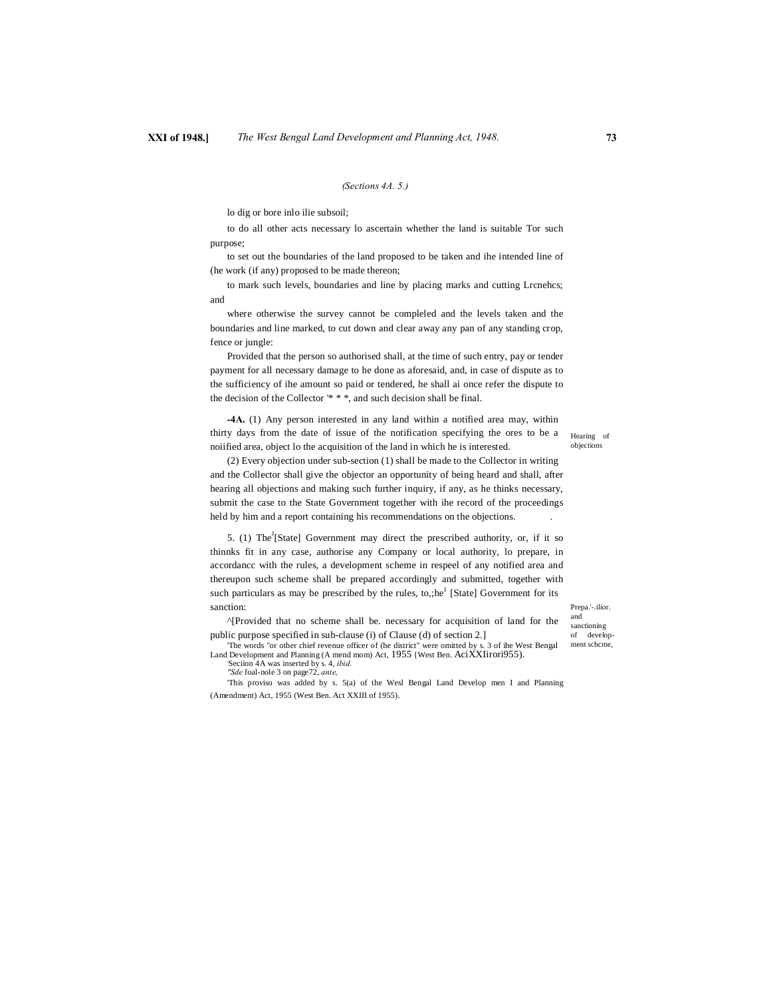# **XXI of 1948.]** *The West Bengal Land Development and Planning Act, 1948.* **73**

#### *(Sections 4A. 5.)*

lo dig or bore inlo ilie subsoil;

to do all other acts necessary lo ascertain whether the land is suitable Tor such purpose;

to set out the boundaries of the land proposed to be taken and ihe intended line of (he work (if any) proposed to be made thereon;

to mark such levels, boundaries and line by placing marks and cutting Lrcnehcs; and

where otherwise the survey cannot be compleled and the levels taken and the boundaries and line marked, to cut down and clear away any pan of any standing crop, fence or jungle:

Provided that the person so authorised shall, at the time of such entry, pay or tender payment for all necessary damage to he done as aforesaid, and, in case of dispute as to the sufficiency of ihe amount so paid or tendered, he shall ai once refer the dispute to the decision of the Collector '\* \* \*, and such decision shall be final.

**-4A.** (1) Any person interested in any land within a notified area may, within thirty days from the date of issue of the notification specifying the ores to be a noiified area, object lo the acquisition of the land in which he is interested.

Hearing of objections

(2) Every objection under sub-section (1) shall be made to the Collector in writing and the Collector shall give the objector an opportunity of being heard and shall, after hearing all objections and making such further inquiry, if any, as he thinks necessary, submit the case to the State Government together with ihe record of the proceedings held by him and a report containing his recommendations on the objections. .

5. (1) The<sup>J</sup>[State] Government may direct the prescribed authority, or, if it so thinnks fit in any case, authorise any Company or local authority, lo prepare, in accordancc with the rules, a development scheme in respeel of any notified area and thereupon such scheme shall be prepared accordingly and submitted, together with such particulars as may be prescribed by the rules, to,;he<sup>1</sup> [State] Government for its sanction:

^[Provided that no scheme shall be. necessary for acquisition of land for the public purpose specified in sub-clause (i) of Clause (d) of section 2.]

'The words "or other chief revenue officer of (he district" were omitted by s. 3 of ihe West Bengal Land Development and Planning (A mend mom) Act, 1955 {West Ben. AciXXIirori955).

Seciion 4A was inserted by s. 4, *ibid. ''Sde* foal-nole 3 on page72, *ante,*

'This proviso was added by s. 5(a) of the Wesl Bengal Land Develop men I and Planning (Amendment) Act, 1955 (West Ben. Act XXIII of 1955).

Prepa.'-.ilior. and sanctioning of development schcme,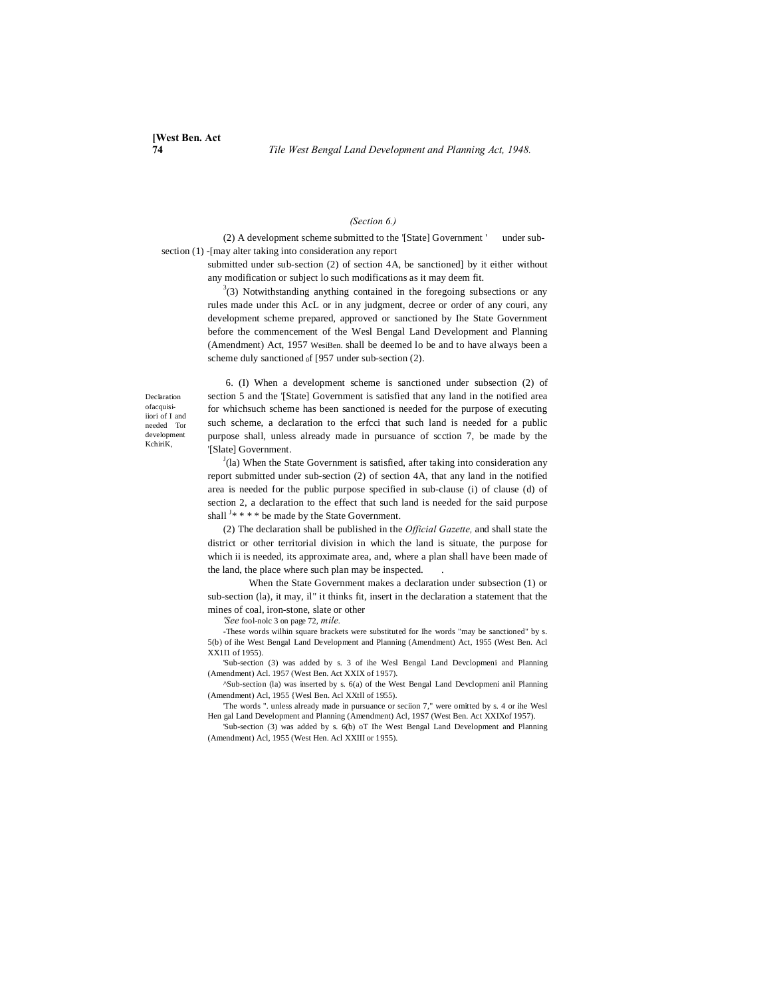# *(Section 6.)*

(2) A development scheme submitted to the '[State] Government ' under subsection (1) -[may alter taking into consideration any report

> submitted under sub-section (2) of section 4A, be sanctioned] by it either without any modification or subject lo such modifications as it may deem fit.

> $3(3)$  Notwithstanding anything contained in the foregoing subsections or any rules made under this AcL or in any judgment, decree or order of any couri, any development scheme prepared, approved or sanctioned by Ihe State Government before the commencement of the Wesl Bengal Land Development and Planning (Amendment) Act, 1957 WesiBen. shall be deemed lo be and to have always been a scheme duly sanctioned  $_0$ f [957 under sub-section (2).

Declaration ofacquisiiiori of I and needed Tor development KchiriK,

6. (I) When a development scheme is sanctioned under subsection (2) of section 5 and the '[State] Government is satisfied that any land in the notified area for whichsuch scheme has been sanctioned is needed for the purpose of executing such scheme, a declaration to the erfcci that such land is needed for a public purpose shall, unless already made in pursuance of scction 7, be made by the '[Slate] Government.

 $J$ (la) When the State Government is satisfied, after taking into consideration any report submitted under sub-section (2) of section 4A, that any land in the notified area is needed for the public purpose specified in sub-clause (i) of clause (d) of section 2, a declaration to the effect that such land is needed for the said purpose shall  $J^*$  \* \* \* be made by the State Government.

(2) The declaration shall be published in the *Official Gazette,* and shall state the district or other territorial division in which the land is situate, the purpose for which ii is needed, its approximate area, and, where a plan shall have been made of the land, the place where such plan may be inspected. .

When the State Government makes a declaration under subsection (1) or sub-section (la), it may, il" it thinks fit, insert in the declaration a statement that the mines of coal, iron-stone, slate or other

*'See* fool-nolc 3 on page 72, *mile.*

-These words wilhin square brackets were substituted for Ihe words "may be sanctioned" by s. 5(b) of ihe West Bengal Land Development and Planning (Amendment) Act, 1955 (West Ben. Acl XX1I1 of 1955).

'Sub-section (3) was added by s. 3 of ihe Wesl Bengal Land Devclopmeni and Planning (Amendment) Acl. 1957 (West Ben. Act XXIX of 1957).

^Sub-section (la) was inserted by s. 6(a) of the West Bengal Land Devclopmeni anil Planning (Amendment) Acl, 1955 {Wesl Ben. Acl XXtll of 1955).

'The words ". unless already made in pursuance or seciion 7," were omitted by s. 4 or ihe Wesl Hen gal Land Development and Planning (Amendment) Acl, 19S7 (West Ben. Act XXIXof 1957).

'Sub-section (3) was added by s. 6(b) oT Ihe West Bengal Land Development and Planning (Amendment) Acl, 1955 (West Hen. Acl XXIII or 1955).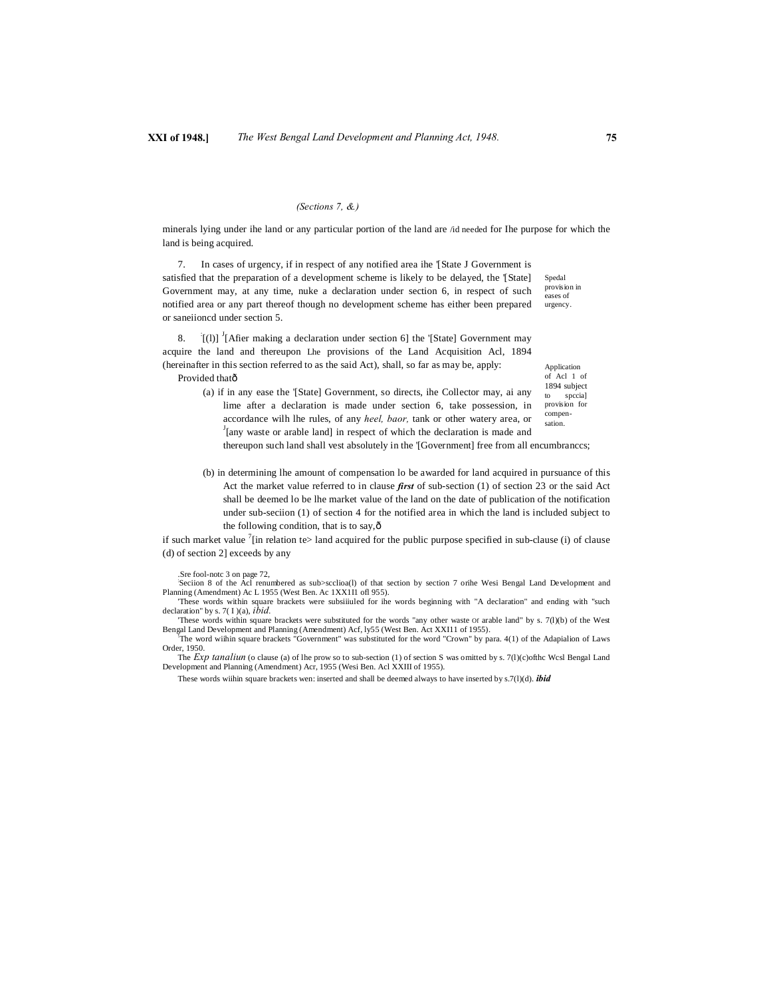### *(Sections 7, &.)*

minerals lying under ihe land or any particular portion of the land are /id needed for Ihe purpose for which the land is being acquired.

Spedal provision in eases of urgency. 7. In cases of urgency, if in respect of any notified area ihe '[State J Government is satisfied that the preparation of a development scheme is likely to be delayed, the '[State] Government may, at any time, nuke a declaration under section 6, in respect of such notified area or any part thereof though no development scheme has either been prepared or saneiioncd under section 5.

8.  $[(1)]$ <sup>J</sup>[Afier making a declaration under section 6] the '[State] Government may acquire the land and thereupon Lhe provisions of the Land Acquisition Acl, 1894 (hereinafter in this section referred to as the said Act), shall, so far as may be, apply: Provided thatô

Application of Acl 1 of 1894 subject spccia] provision for

- compensation. (a) if in any ease the '[State] Government, so directs, ihe Collector may, ai any lime after a declaration is made under section 6, take possession, in accordance wilh lhe rules, of any *heel, baor*, tank or other watery area, or <sup>J</sup>[any waste or arable land] in respect of which the declaration is made and thereupon such land shall vest absolutely in the '[Government] free from all encumbranccs;
- (b) in determining lhe amount of compensation lo be awarded for land acquired in pursuance of this Act the market value referred to in clause *first* of sub-section (1) of section 23 or the said Act shall be deemed lo be lhe market value of the land on the date of publication of the notification under sub-seciion (1) of section 4 for the notified area in which the land is included subject to the following condition, that is to say, $\hat{\sigma}$

if such market value <sup>7</sup>[in relation te> land acquired for the public purpose specified in sub-clause (i) of clause (d) of section 2] exceeds by any

Sre fool-notc 3 on page 72,<br>Seciion 8 of the Acl renumbered as sub>scclioa(l) of that section by section 7 orihe Wesi Bengal Land Development and Planning (Amendment) Ac L 1955 (West Ben. Ac 1XX1I1 ofl 955).

'These words within square brackets were subsiiiuled for ihe words beginning with "A declaration" and ending with "such declaration" by s. 7( I )(a), *ibid.* 'These words within square brackets were substituted for the words "any other waste Of arable land" by s. 7(l)(b) of the West

Bengal Land Development and Planning (Amendment) Acf, ly55 (West Ben. Act XXI11 of 1955). The word wiihin square brackets "Government" was substituted for the word "Crown" by para. 4(1) of the Adapialion of Laws Order, 1950.

The *Exp tanaliun* (o clause (a) of lhe prow so to sub-section (1) of section S was omitted by s. 7(l)(c)ofthc Wcsl Bengal Land Development and Planning (Amendment) Acr, 1955 (Wesi Ben. Acl XXIII of 1955).

These words wiihin square brackets wen: inserted and shall be deemed always to have inserted by s.7(l)(d). *ibid*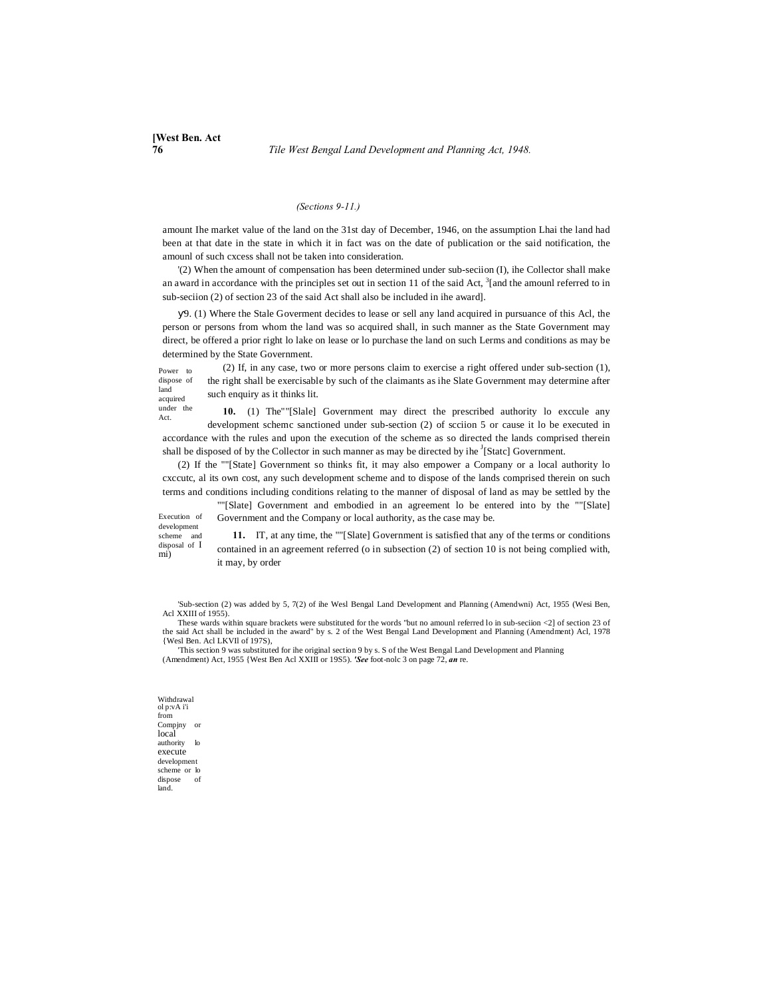## *(Sections 9-11.)*

amount Ihe market value of the land on the 31st day of December, 1946, on the assumption Lhai the land had been at that date in the state in which it in fact was on the date of publication or the said notification, the amounl of such cxcess shall not be taken into consideration.

'(2) When the amount of compensation has been determined under sub-seciion (I), ihe Collector shall make an award in accordance with the principles set out in section 11 of the said Act,  $3$ [and the amounl referred to in sub-seciion (2) of section 23 of the said Act shall also be included in ihe award].

9. (1) Where the Stale Goverment decides to lease or sell any land acquired in pursuance of this Acl, the person or persons from whom the land was so acquired shall, in such manner as the State Government may direct, be offered a prior right lo lake on lease or lo purchase the land on such Lerms and conditions as may be determined by the State Government.

Power to dispose of land acquired (2) If, in any case, two or more persons claim to exercise a right offered under sub-section (1), the right shall be exercisable by such of the claimants as ihe Slate Government may determine after such enquiry as it thinks lit.

under the Act. **10.** (1) The""[Slale] Government may direct the prescribed authority lo exccule any development schemc sanctioned under sub-section (2) of scciion 5 or cause it lo be executed in accordance with the rules and upon the execution of the scheme as so directed the lands comprised therein shall be disposed of by the Collector in such manner as may be directed by ihe  $\frac{1}{3}$ [Statc] Government.

(2) If the ""[State] Government so thinks fit, it may also empower a Company or a local authority lo cxccutc, al its own cost, any such development scheme and to dispose of the lands comprised therein on such terms and conditions including conditions relating to the manner of disposal of land as may be settled by the

Execution of ""[Slate] Government and embodied in an agreement lo be entered into by the ""[Slate] Government and the Company or local authority, as the case may be.

development scheme and disposal of I mi)

**11.** IT, at any time, the ""[Slate] Government is satisfied that any of the terms or conditions contained in an agreement referred (o in subsection (2) of section 10 is not being complied with, it may, by order

'Sub-section (2) was added by 5, 7(2) of ihe Wesl Bengal Land Development and Planning (Amendwni) Act, 1955 (Wesi Ben, Acl XXIII of 1955).

These wards within square brackets were substituted for the words "but no amounl referred lo in sub-seciion <2] of section 23 of the said Act shall be included in the award" by s. 2 of the West Bengal Land Development and Planning (Amendment) Acl, 1978 {Wesl Ben. Acl LKVIl of 197S),

'This section 9 was substituted for ihe original section 9 by s. S of the West Bengal Land Development and Planning (Amendment) Act, 1955 {West Ben Acl XXIII or 19S5). *'See* foot-nolc 3 on page 72, *an* re.

Withdrawal ol p:vA i'i from Compjny or local authority lo execute development scheme or lo dispose of land.